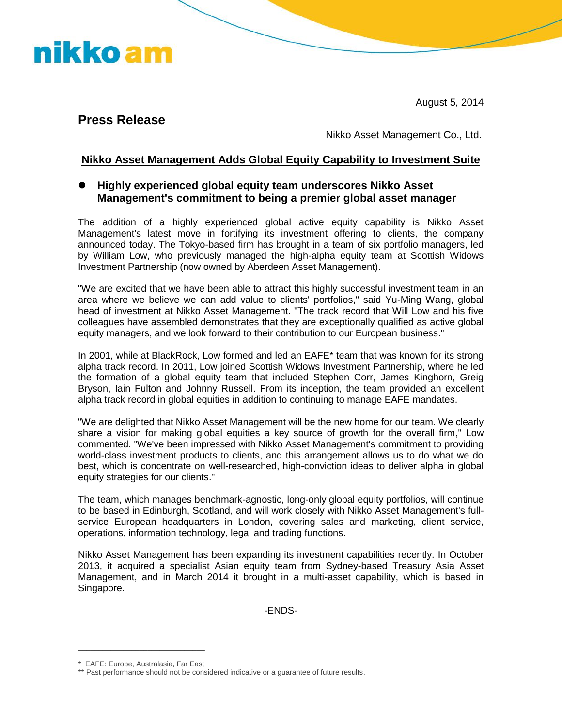August 5, 2014

## **Press Release**

nikko am

Nikko Asset Management Co., Ltd.

#### **Nikko Asset Management Adds Global Equity Capability to Investment Suite**

#### **Highly experienced global equity team underscores Nikko Asset Management's commitment to being a premier global asset manager**

The addition of a highly experienced global active equity capability is Nikko Asset Management's latest move in fortifying its investment offering to clients, the company announced today. The Tokyo-based firm has brought in a team of six portfolio managers, led by William Low, who previously managed the high-alpha equity team at Scottish Widows Investment Partnership (now owned by Aberdeen Asset Management).

"We are excited that we have been able to attract this highly successful investment team in an area where we believe we can add value to clients' portfolios," said Yu-Ming Wang, global head of investment at Nikko Asset Management. "The track record that Will Low and his five colleagues have assembled demonstrates that they are exceptionally qualified as active global equity managers, and we look forward to their contribution to our European business."

In 2001, while at BlackRock, Low formed and led an EAFE\* team that was known for its strong alpha track record. In 2011, Low joined Scottish Widows Investment Partnership, where he led the formation of a global equity team that included Stephen Corr, James Kinghorn, Greig Bryson, Iain Fulton and Johnny Russell. From its inception, the team provided an excellent alpha track record in global equities in addition to continuing to manage EAFE mandates.

"We are delighted that Nikko Asset Management will be the new home for our team. We clearly share a vision for making global equities a key source of growth for the overall firm," Low commented. "We've been impressed with Nikko Asset Management's commitment to providing world-class investment products to clients, and this arrangement allows us to do what we do best, which is concentrate on well-researched, high-conviction ideas to deliver alpha in global equity strategies for our clients."

The team, which manages benchmark-agnostic, long-only global equity portfolios, will continue to be based in Edinburgh, Scotland, and will work closely with Nikko Asset Management's fullservice European headquarters in London, covering sales and marketing, client service, operations, information technology, legal and trading functions.

Nikko Asset Management has been expanding its investment capabilities recently. In October 2013, it acquired a specialist Asian equity team from Sydney-based Treasury Asia Asset Management, and in March 2014 it brought in a multi-asset capability, which is based in Singapore.

-ENDS-

\_\_\_\_\_\_\_\_\_\_\_\_\_\_\_\_\_\_\_\_\_\_\_\_\_\_\_\_\_\_\_ \* EAFE: Europe, Australasia, Far East

<sup>\*\*</sup> Past performance should not be considered indicative or a guarantee of future results.